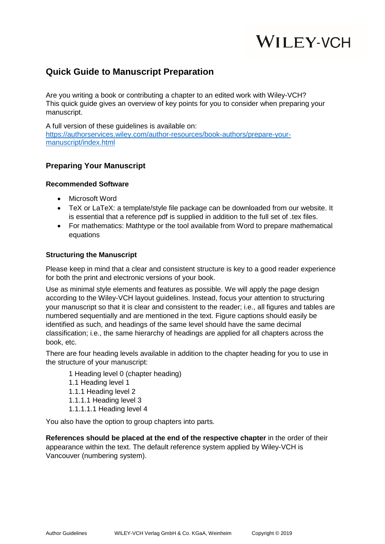# **WILEY-VCH**

# **Quick Guide to Manuscript Preparation**

Are you writing a book or contributing a chapter to an edited work with Wiley-VCH? This quick guide gives an overview of key points for you to consider when preparing your manuscript.

A full version of these guidelines is available on: [https://authorservices.wiley.com/author-resources/book-authors/prepare-your](https://authorservices.wiley.com/author-resources/book-authors/prepare-your-manuscript/index.html)[manuscript/index.html](https://authorservices.wiley.com/author-resources/book-authors/prepare-your-manuscript/index.html)

### **Preparing Your Manuscript**

#### **Recommended Software**

- Microsoft Word
- TeX or LaTeX: a template/style file package can be downloaded from our website. It is essential that a reference pdf is supplied in addition to the full set of .tex files.
- For mathematics: Mathtype or the tool available from Word to prepare mathematical equations

#### **Structuring the Manuscript**

Please keep in mind that a clear and consistent structure is key to a good reader experience for both the print and electronic versions of your book.

Use as minimal style elements and features as possible. We will apply the page design according to the Wiley-VCH layout guidelines. Instead, focus your attention to structuring your manuscript so that it is clear and consistent to the reader; i.e., all figures and tables are numbered sequentially and are mentioned in the text. Figure captions should easily be identified as such, and headings of the same level should have the same decimal classification; i.e., the same hierarchy of headings are applied for all chapters across the book, etc.

There are four heading levels available in addition to the chapter heading for you to use in the structure of your manuscript:

1 Heading level 0 (chapter heading)

- 1.1 Heading level 1
- 1.1.1 Heading level 2
- 1.1.1.1 Heading level 3
- 1.1.1.1.1 Heading level 4

You also have the option to group chapters into parts.

**References should be placed at the end of the respective chapter** in the order of their appearance within the text. The default reference system applied by Wiley-VCH is Vancouver (numbering system).